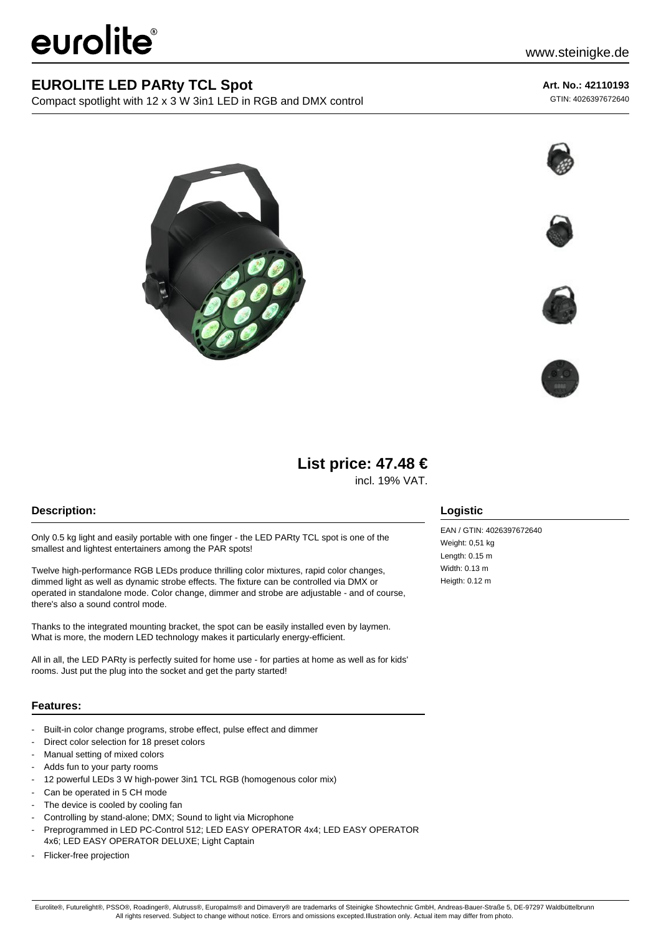# eurolite®

### **EUROLITE LED PARty TCL Spot**

Compact spotlight with 12 x 3 W 3in1 LED in RGB and DMX control

#### **Art. No.: 42110193**

GTIN: 4026397672640









## **List price: 47.48 €**

incl. 19% VAT.

#### **Description:**

Only 0.5 kg light and easily portable with one finger - the LED PARty TCL spot is one of the smallest and lightest entertainers among the PAR spots!

Twelve high-performance RGB LEDs produce thrilling color mixtures, rapid color changes, dimmed light as well as dynamic strobe effects. The fixture can be controlled via DMX or operated in standalone mode. Color change, dimmer and strobe are adjustable - and of course, there's also a sound control mode.

Thanks to the integrated mounting bracket, the spot can be easily installed even by laymen. What is more, the modern LED technology makes it particularly energy-efficient.

All in all, the LED PARty is perfectly suited for home use - for parties at home as well as for kids' rooms. Just put the plug into the socket and get the party started!

#### **Features:**

- Built-in color change programs, strobe effect, pulse effect and dimmer
- Direct color selection for 18 preset colors
- Manual setting of mixed colors
- Adds fun to your party rooms
- 12 powerful LEDs 3 W high-power 3in1 TCL RGB (homogenous color mix)
- Can be operated in 5 CH mode
- The device is cooled by cooling fan
- Controlling by stand-alone; DMX; Sound to light via Microphone
- Preprogrammed in LED PC-Control 512; LED EASY OPERATOR 4x4; LED EASY OPERATOR 4x6; LED EASY OPERATOR DELUXE; Light Captain
- Flicker-free projection

#### **Logistic**

EAN / GTIN: 4026397672640 Weight: 0,51 kg Length: 0.15 m Width: 0.13 m Heigth: 0.12 m

Eurolite®, Futurelight®, PSSO®, Roadinger®, Alutruss®, Europalms® and Dimavery® are trademarks of Steinigke Showtechnic GmbH, Andreas-Bauer-Straße 5, DE-97297 Waldbüttelbrunn All rights reserved. Subject to change without notice. Errors and omissions excepted.Illustration only. Actual item may differ from photo.